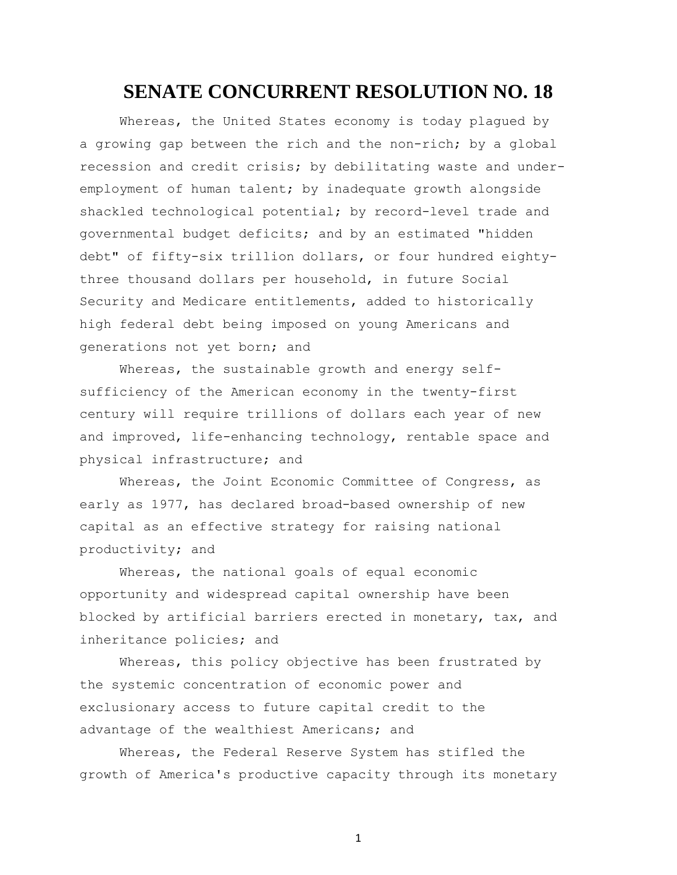## **SENATE CONCURRENT RESOLUTION NO. 18**

Whereas, the United States economy is today plagued by a growing gap between the rich and the non-rich; by a global recession and credit crisis; by debilitating waste and underemployment of human talent; by inadequate growth alongside shackled technological potential; by record-level trade and governmental budget deficits; and by an estimated "hidden debt" of fifty-six trillion dollars, or four hundred eightythree thousand dollars per household, in future Social Security and Medicare entitlements, added to historically high federal debt being imposed on young Americans and generations not yet born; and

Whereas, the sustainable growth and energy selfsufficiency of the American economy in the twenty-first century will require trillions of dollars each year of new and improved, life-enhancing technology, rentable space and physical infrastructure; and

Whereas, the Joint Economic Committee of Congress, as early as 1977, has declared broad-based ownership of new capital as an effective strategy for raising national productivity; and

Whereas, the national goals of equal economic opportunity and widespread capital ownership have been blocked by artificial barriers erected in monetary, tax, and inheritance policies; and

Whereas, this policy objective has been frustrated by the systemic concentration of economic power and exclusionary access to future capital credit to the advantage of the wealthiest Americans; and

Whereas, the Federal Reserve System has stifled the growth of America's productive capacity through its monetary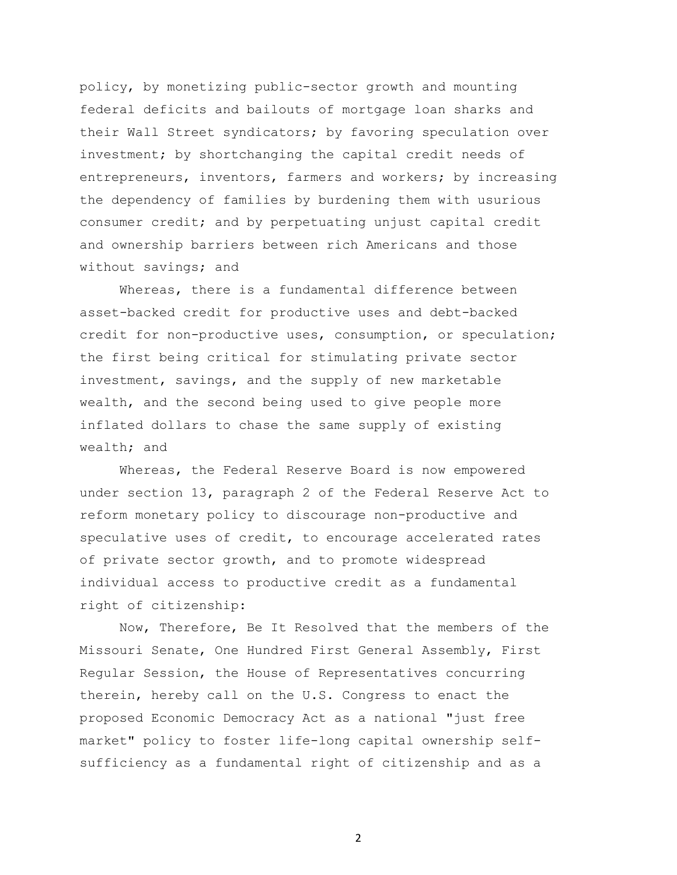policy, by monetizing public-sector growth and mounting federal deficits and bailouts of mortgage loan sharks and their Wall Street syndicators; by favoring speculation over investment; by shortchanging the capital credit needs of entrepreneurs, inventors, farmers and workers; by increasing the dependency of families by burdening them with usurious consumer credit; and by perpetuating unjust capital credit and ownership barriers between rich Americans and those without savings; and

Whereas, there is a fundamental difference between asset-backed credit for productive uses and debt-backed credit for non-productive uses, consumption, or speculation; the first being critical for stimulating private sector investment, savings, and the supply of new marketable wealth, and the second being used to give people more inflated dollars to chase the same supply of existing wealth; and

Whereas, the Federal Reserve Board is now empowered under section 13, paragraph 2 of the Federal Reserve Act to reform monetary policy to discourage non-productive and speculative uses of credit, to encourage accelerated rates of private sector growth, and to promote widespread individual access to productive credit as a fundamental right of citizenship:

Now, Therefore, Be It Resolved that the members of the Missouri Senate, One Hundred First General Assembly, First Regular Session, the House of Representatives concurring therein, hereby call on the U.S. Congress to enact the proposed Economic Democracy Act as a national "just free market" policy to foster life-long capital ownership selfsufficiency as a fundamental right of citizenship and as a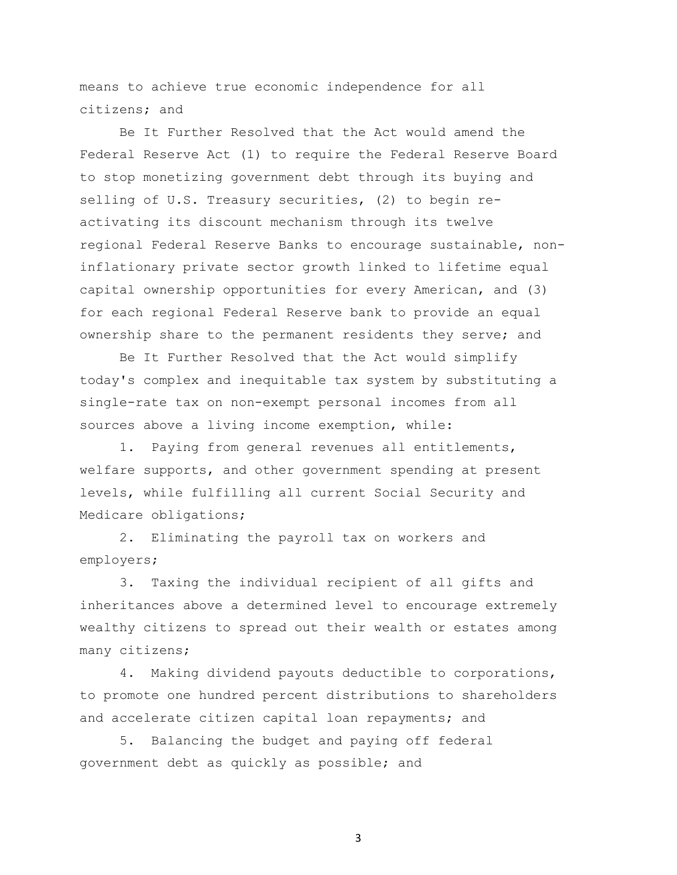means to achieve true economic independence for all citizens; and

Be It Further Resolved that the Act would amend the Federal Reserve Act (1) to require the Federal Reserve Board to stop monetizing government debt through its buying and selling of U.S. Treasury securities, (2) to begin reactivating its discount mechanism through its twelve regional Federal Reserve Banks to encourage sustainable, noninflationary private sector growth linked to lifetime equal capital ownership opportunities for every American, and (3) for each regional Federal Reserve bank to provide an equal ownership share to the permanent residents they serve; and

Be It Further Resolved that the Act would simplify today's complex and inequitable tax system by substituting a single-rate tax on non-exempt personal incomes from all sources above a living income exemption, while:

1. Paying from general revenues all entitlements, welfare supports, and other government spending at present levels, while fulfilling all current Social Security and Medicare obligations;

2. Eliminating the payroll tax on workers and employers;

3. Taxing the individual recipient of all gifts and inheritances above a determined level to encourage extremely wealthy citizens to spread out their wealth or estates among many citizens;

4. Making dividend payouts deductible to corporations, to promote one hundred percent distributions to shareholders and accelerate citizen capital loan repayments; and

5. Balancing the budget and paying off federal government debt as quickly as possible; and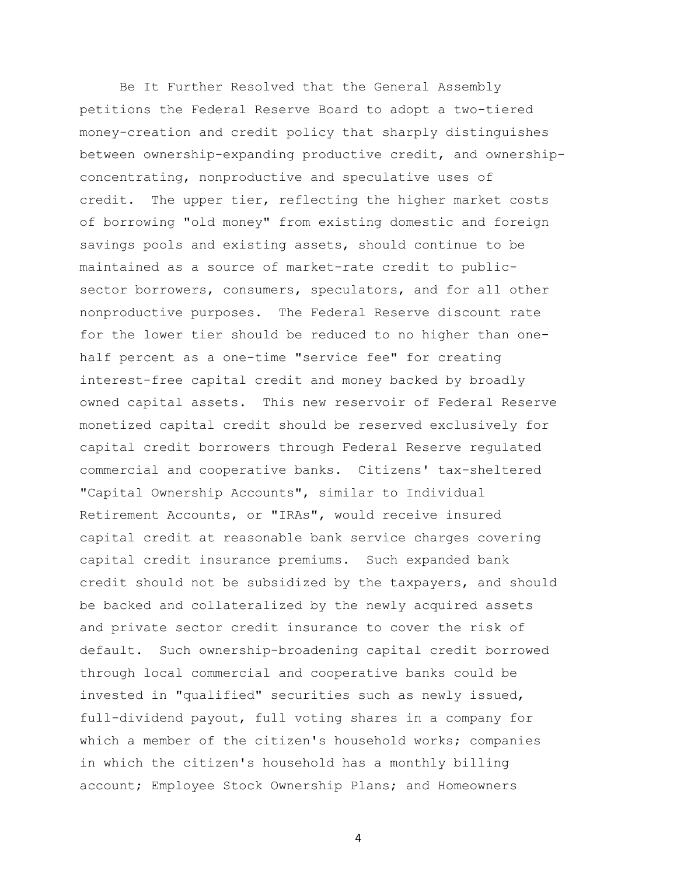Be It Further Resolved that the General Assembly petitions the Federal Reserve Board to adopt a two-tiered money-creation and credit policy that sharply distinguishes between ownership-expanding productive credit, and ownershipconcentrating, nonproductive and speculative uses of credit. The upper tier, reflecting the higher market costs of borrowing "old money" from existing domestic and foreign savings pools and existing assets, should continue to be maintained as a source of market-rate credit to publicsector borrowers, consumers, speculators, and for all other nonproductive purposes. The Federal Reserve discount rate for the lower tier should be reduced to no higher than onehalf percent as a one-time "service fee" for creating interest-free capital credit and money backed by broadly owned capital assets. This new reservoir of Federal Reserve monetized capital credit should be reserved exclusively for capital credit borrowers through Federal Reserve regulated commercial and cooperative banks. Citizens' tax-sheltered "Capital Ownership Accounts", similar to Individual Retirement Accounts, or "IRAs", would receive insured capital credit at reasonable bank service charges covering capital credit insurance premiums. Such expanded bank credit should not be subsidized by the taxpayers, and should be backed and collateralized by the newly acquired assets and private sector credit insurance to cover the risk of default. Such ownership-broadening capital credit borrowed through local commercial and cooperative banks could be invested in "qualified" securities such as newly issued, full-dividend payout, full voting shares in a company for which a member of the citizen's household works; companies in which the citizen's household has a monthly billing account; Employee Stock Ownership Plans; and Homeowners